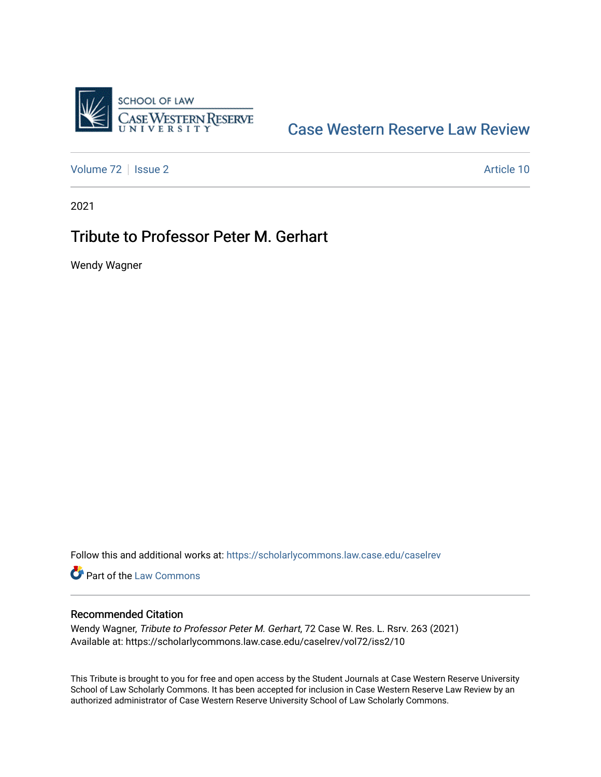

# [Case Western Reserve Law Review](https://scholarlycommons.law.case.edu/caselrev)

[Volume 72](https://scholarlycommons.law.case.edu/caselrev/vol72) | [Issue 2](https://scholarlycommons.law.case.edu/caselrev/vol72/iss2) Article 10

2021

# Tribute to Professor Peter M. Gerhart

Wendy Wagner

Follow this and additional works at: [https://scholarlycommons.law.case.edu/caselrev](https://scholarlycommons.law.case.edu/caselrev?utm_source=scholarlycommons.law.case.edu%2Fcaselrev%2Fvol72%2Fiss2%2F10&utm_medium=PDF&utm_campaign=PDFCoverPages)

**Part of the [Law Commons](https://network.bepress.com/hgg/discipline/578?utm_source=scholarlycommons.law.case.edu%2Fcaselrev%2Fvol72%2Fiss2%2F10&utm_medium=PDF&utm_campaign=PDFCoverPages)** 

## Recommended Citation

Wendy Wagner, Tribute to Professor Peter M. Gerhart, 72 Case W. Res. L. Rsrv. 263 (2021) Available at: https://scholarlycommons.law.case.edu/caselrev/vol72/iss2/10

This Tribute is brought to you for free and open access by the Student Journals at Case Western Reserve University School of Law Scholarly Commons. It has been accepted for inclusion in Case Western Reserve Law Review by an authorized administrator of Case Western Reserve University School of Law Scholarly Commons.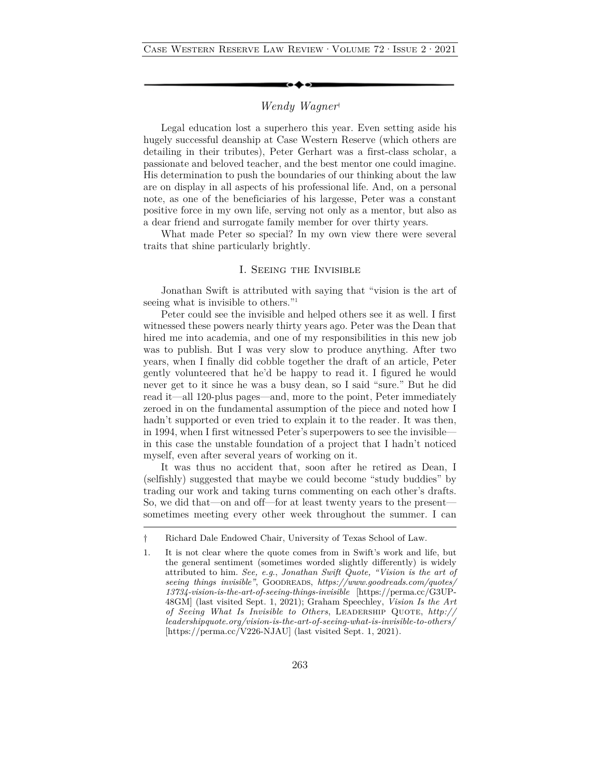## *Wendy Wagner*†

Legal education lost a superhero this year. Even setting aside his hugely successful deanship at Case Western Reserve (which others are detailing in their tributes), Peter Gerhart was a first-class scholar, a passionate and beloved teacher, and the best mentor one could imagine. His determination to push the boundaries of our thinking about the law are on display in all aspects of his professional life. And, on a personal note, as one of the beneficiaries of his largesse, Peter was a constant positive force in my own life, serving not only as a mentor, but also as a dear friend and surrogate family member for over thirty years.

What made Peter so special? In my own view there were several traits that shine particularly brightly.

## I. Seeing the Invisible

Jonathan Swift is attributed with saying that "vision is the art of seeing what is invisible to others."1

Peter could see the invisible and helped others see it as well. I first witnessed these powers nearly thirty years ago. Peter was the Dean that hired me into academia, and one of my responsibilities in this new job was to publish. But I was very slow to produce anything. After two years, when I finally did cobble together the draft of an article, Peter gently volunteered that he'd be happy to read it. I figured he would never get to it since he was a busy dean, so I said "sure." But he did read it—all 120-plus pages—and, more to the point, Peter immediately zeroed in on the fundamental assumption of the piece and noted how I hadn't supported or even tried to explain it to the reader*.* It was then, in 1994, when I first witnessed Peter's superpowers to see the invisible in this case the unstable foundation of a project that I hadn't noticed myself, even after several years of working on it.

It was thus no accident that, soon after he retired as Dean, I (selfishly) suggested that maybe we could become "study buddies" by trading our work and taking turns commenting on each other's drafts. So, we did that—on and off—for at least twenty years to the present sometimes meeting every other week throughout the summer. I can

<sup>†</sup> Richard Dale Endowed Chair, University of Texas School of Law.

<sup>1.</sup> It is not clear where the quote comes from in Swift's work and life, but the general sentiment (sometimes worded slightly differently) is widely attributed to him. *See, e.g*., *Jonathan Swift Quote, "Vision is the art of seeing things invisible"*, Goodreads, *https://www.goodreads.com/quotes/ 13734-vision-is-the-art-of-seeing-things-invisible* [https://perma.cc/G3UP-48GM] (last visited Sept. 1, 2021); Graham Speechley, *Vision Is the Art of Seeing What Is Invisible to Others*, Leadership Quote, *http:// leadershipquote.org/vision-is-the-art-of-seeing-what-is-invisible-to-others/* [https://perma.cc/V226-NJAU] (last visited Sept. 1, 2021).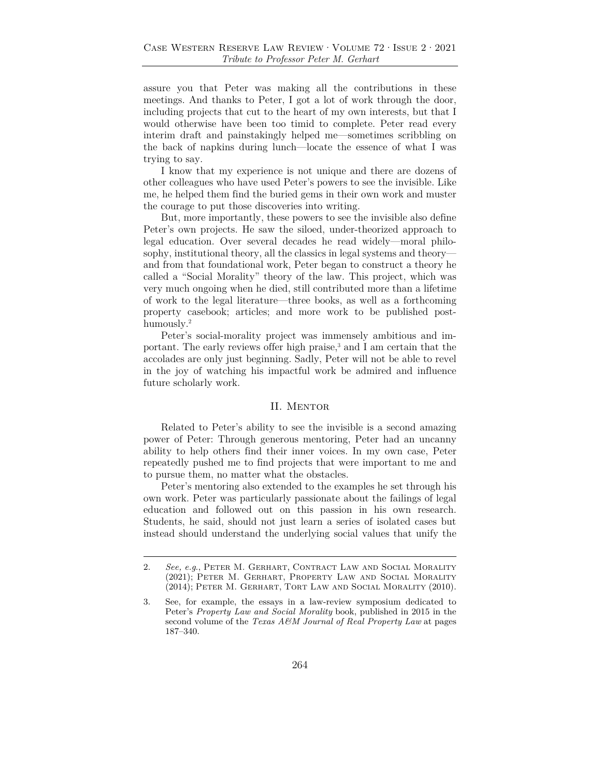assure you that Peter was making all the contributions in these meetings. And thanks to Peter, I got a lot of work through the door, including projects that cut to the heart of my own interests, but that I would otherwise have been too timid to complete. Peter read every interim draft and painstakingly helped me—sometimes scribbling on the back of napkins during lunch—locate the essence of what I was trying to say.

I know that my experience is not unique and there are dozens of other colleagues who have used Peter's powers to see the invisible. Like me, he helped them find the buried gems in their own work and muster the courage to put those discoveries into writing.

But, more importantly, these powers to see the invisible also define Peter's own projects. He saw the siloed, under-theorized approach to legal education. Over several decades he read widely—moral philosophy, institutional theory, all the classics in legal systems and theory and from that foundational work, Peter began to construct a theory he called a "Social Morality" theory of the law. This project, which was very much ongoing when he died, still contributed more than a lifetime of work to the legal literature—three books, as well as a forthcoming property casebook; articles; and more work to be published posthumously.<sup>2</sup>

Peter's social-morality project was immensely ambitious and important. The early reviews offer high praise,<sup>3</sup> and I am certain that the accolades are only just beginning. Sadly, Peter will not be able to revel in the joy of watching his impactful work be admired and influence future scholarly work.

#### II. MENTOR

Related to Peter's ability to see the invisible is a second amazing power of Peter: Through generous mentoring, Peter had an uncanny ability to help others find their inner voices. In my own case, Peter repeatedly pushed me to find projects that were important to me and to pursue them, no matter what the obstacles.

Peter's mentoring also extended to the examples he set through his own work. Peter was particularly passionate about the failings of legal education and followed out on this passion in his own research. Students, he said, should not just learn a series of isolated cases but instead should understand the underlying social values that unify the

<sup>2.</sup> *See, e.g*., Peter M. Gerhart, Contract Law and Social Morality (2021); Peter M. Gerhart, Property Law and Social Morality (2014); Peter M. Gerhart, Tort Law and Social Morality (2010).

<sup>3.</sup> See, for example, the essays in a law-review symposium dedicated to Peter's *Property Law and Social Morality* book, published in 2015 in the second volume of the *Texas A&M Journal of Real Property Law* at pages 187–340.